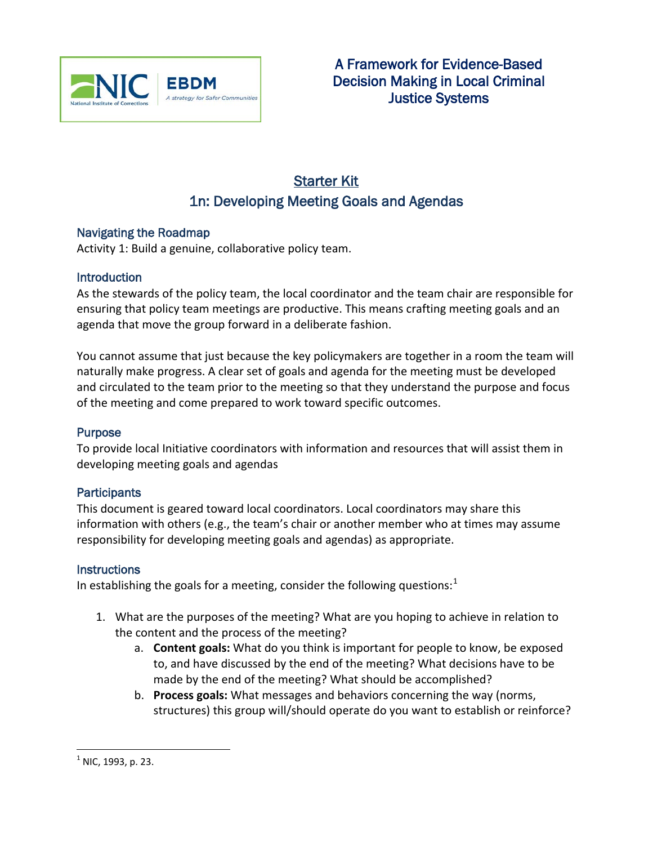

# Starter Kit 1n: Developing Meeting Goals and Agendas

## Navigating the Roadmap

Activity 1: Build a genuine, collaborative policy team.

## **Introduction**

As the stewards of the policy team, the local coordinator and the team chair are responsible for ensuring that policy team meetings are productive. This means crafting meeting goals and an agenda that move the group forward in a deliberate fashion.

You cannot assume that just because the key policymakers are together in a room the team will naturally make progress. A clear set of goals and agenda for the meeting must be developed and circulated to the team prior to the meeting so that they understand the purpose and focus of the meeting and come prepared to work toward specific outcomes.

### Purpose

To provide local Initiative coordinators with information and resources that will assist them in developing meeting goals and agendas

### **Participants**

This document is geared toward local coordinators. Local coordinators may share this information with others (e.g., the team's chair or another member who at times may assume responsibility for developing meeting goals and agendas) as appropriate.

### **Instructions**

In establishing the goals for a meeting, consider the following questions: $<sup>1</sup>$  $<sup>1</sup>$  $<sup>1</sup>$ </sup>

- 1. What are the purposes of the meeting? What are you hoping to achieve in relation to the content and the process of the meeting?
	- a. **Content goals:** What do you think is important for people to know, be exposed to, and have discussed by the end of the meeting? What decisions have to be made by the end of the meeting? What should be accomplished?
	- b. **Process goals:** What messages and behaviors concerning the way (norms, structures) this group will/should operate do you want to establish or reinforce?

<span id="page-0-0"></span> $^{1}$  NIC, 1993, p. 23.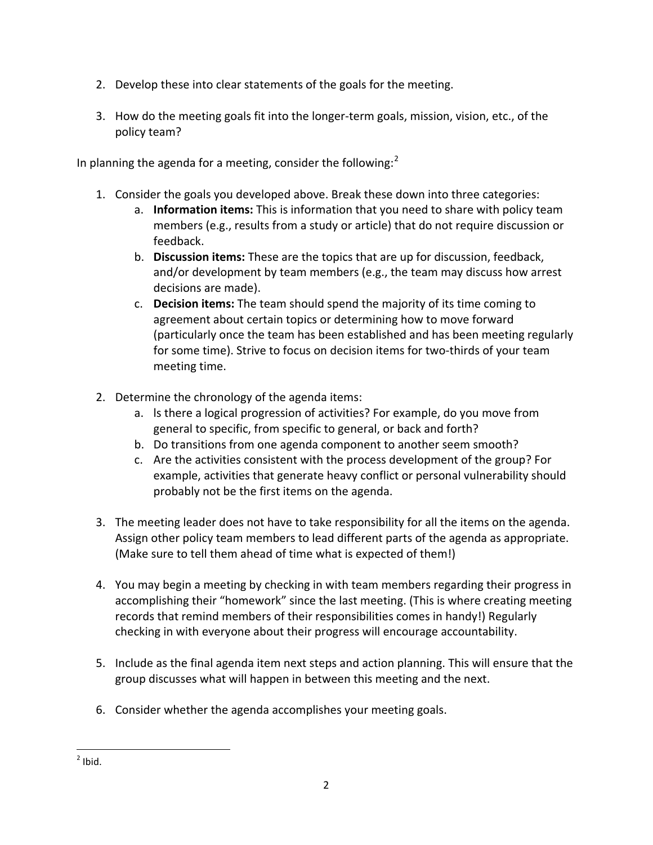- 2. Develop these into clear statements of the goals for the meeting.
- 3. How do the meeting goals fit into the longer-term goals, mission, vision, etc., of the policy team?

In planning the agenda for a meeting, consider the following: $<sup>2</sup>$  $<sup>2</sup>$  $<sup>2</sup>$ </sup>

- 1. Consider the goals you developed above. Break these down into three categories:
	- a. **Information items:** This is information that you need to share with policy team members (e.g., results from a study or article) that do not require discussion or feedback.
	- b. **Discussion items:** These are the topics that are up for discussion, feedback, and/or development by team members (e.g., the team may discuss how arrest decisions are made).
	- c. **Decision items:** The team should spend the majority of its time coming to agreement about certain topics or determining how to move forward (particularly once the team has been established and has been meeting regularly for some time). Strive to focus on decision items for two-thirds of your team meeting time.
- 2. Determine the chronology of the agenda items:
	- a. ls there a logical progression of activities? For example, do you move from general to specific, from specific to general, or back and forth?
	- b. Do transitions from one agenda component to another seem smooth?
	- c. Are the activities consistent with the process development of the group? For example, activities that generate heavy conflict or personal vulnerability should probably not be the first items on the agenda.
- 3. The meeting leader does not have to take responsibility for all the items on the agenda. Assign other policy team members to lead different parts of the agenda as appropriate. (Make sure to tell them ahead of time what is expected of them!)
- 4. You may begin a meeting by checking in with team members regarding their progress in accomplishing their "homework" since the last meeting. (This is where creating meeting records that remind members of their responsibilities comes in handy!) Regularly checking in with everyone about their progress will encourage accountability.
- 5. Include as the final agenda item next steps and action planning. This will ensure that the group discusses what will happen in between this meeting and the next.
- 6. Consider whether the agenda accomplishes your meeting goals.

 $<sup>2</sup>$  Ibid.</sup>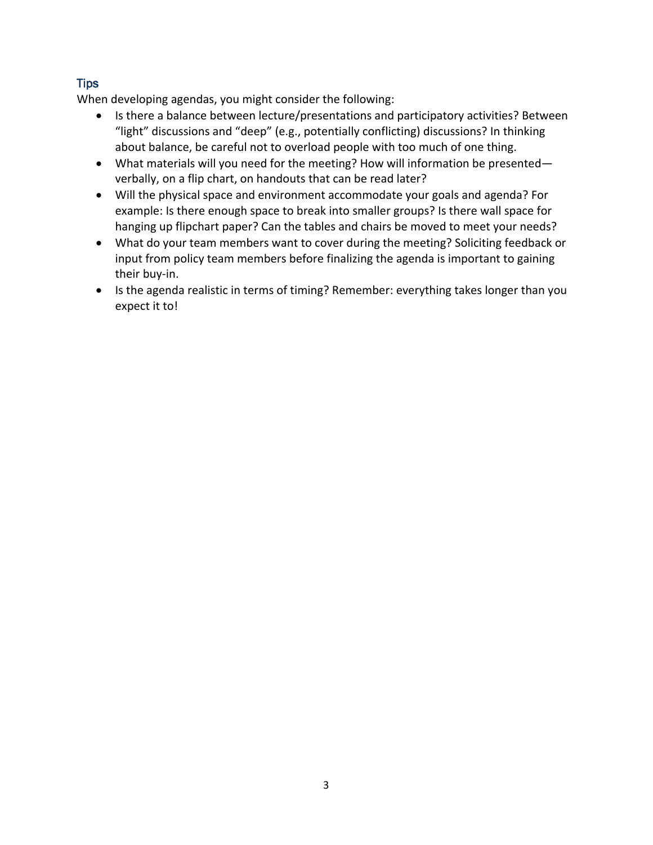## **Tips**

When developing agendas, you might consider the following:

- Is there a balance between lecture/presentations and participatory activities? Between "light" discussions and "deep" (e.g., potentially conflicting) discussions? In thinking about balance, be careful not to overload people with too much of one thing.
- What materials will you need for the meeting? How will information be presented verbally, on a flip chart, on handouts that can be read later?
- Will the physical space and environment accommodate your goals and agenda? For example: Is there enough space to break into smaller groups? Is there wall space for hanging up flipchart paper? Can the tables and chairs be moved to meet your needs?
- What do your team members want to cover during the meeting? Soliciting feedback or input from policy team members before finalizing the agenda is important to gaining their buy-in.
- <span id="page-2-0"></span>• Is the agenda realistic in terms of timing? Remember: everything takes longer than you expect it to!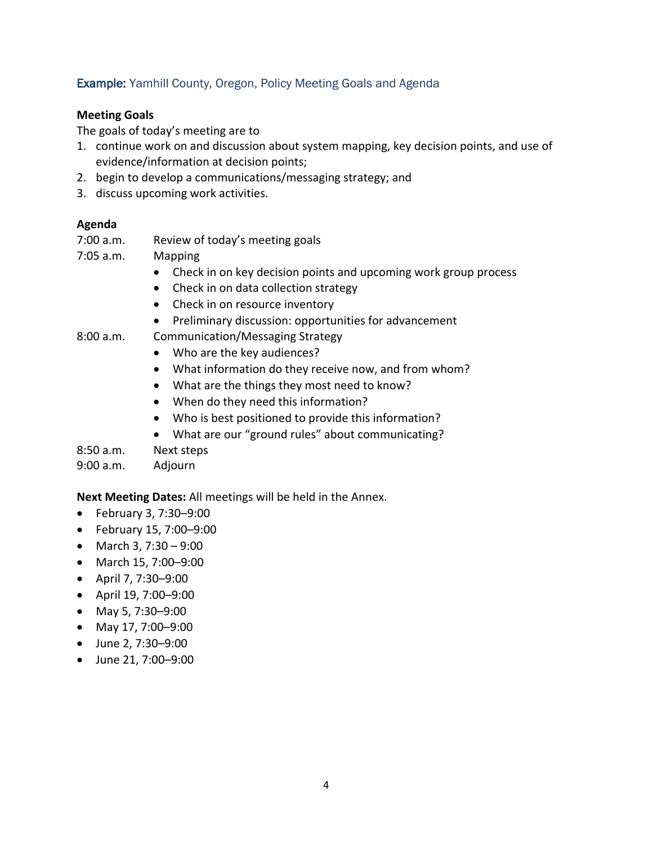## Example: Yamhill County, Oregon, Policy Meeting Goals and Agenda

#### **Meeting Goals**

The goals of today's meeting are to

- 1. continue work on and discussion about system mapping, key decision points, and use of evidence/information at decision points;
- 2. begin to develop a communications/messaging strategy; and
- 3. discuss upcoming work activities.

#### **Agenda**

7:00 a.m. Review of today's meeting goals

7:05 a.m. Mapping

- Check in on key decision points and upcoming work group process
- Check in on data collection strategy
- Check in on resource inventory
- Preliminary discussion: opportunities for advancement
- 8:00 a.m. Communication/Messaging Strategy
	- Who are the key audiences?
	- What information do they receive now, and from whom?
	- What are the things they most need to know?
	- When do they need this information?
	- Who is best positioned to provide this information?
	- What are our "ground rules" about communicating?

### 8:50 a.m. Next steps

9:00 a.m. Adjourn

#### **Next Meeting Dates:** All meetings will be held in the Annex.

- February 3, 7:30–9:00
- February 15, 7:00–9:00
- March 3, 7:30 9:00
- March 15, 7:00–9:00
- April 7, 7:30–9:00
- April 19, 7:00–9:00
- May 5, 7:30–9:00
- May 17, 7:00–9:00
- June 2, 7:30–9:00
- June 21, 7:00–9:00